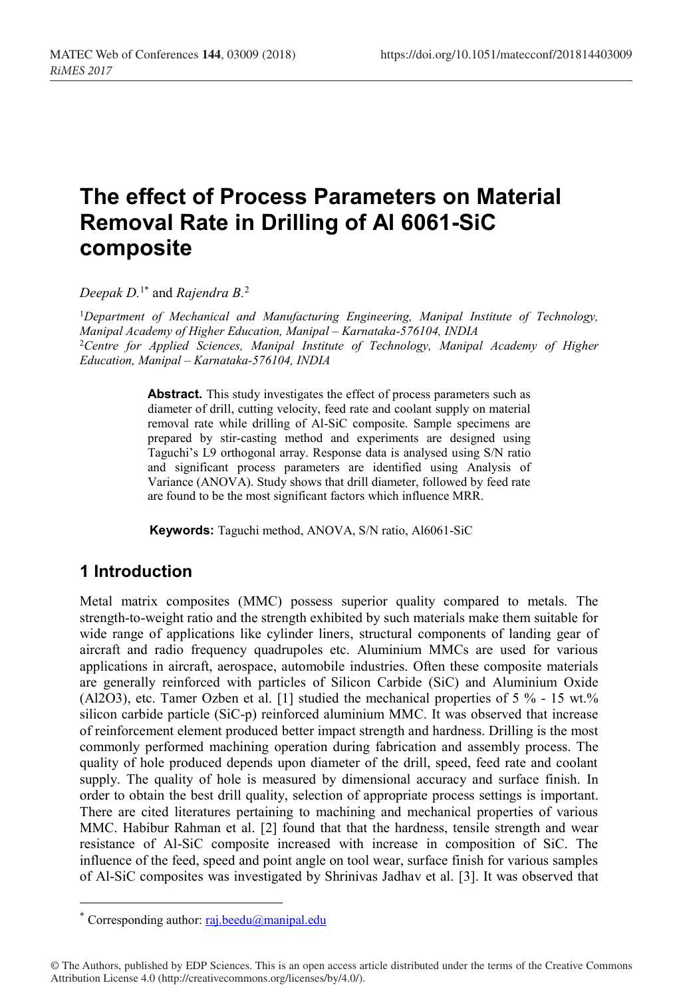# **The effect of Process Parameters on Material Removal Rate in Drilling of Al 6061-SiC composite**

*Deepak D.* 1\* and *Rajendra B.* 2

<sup>1</sup>*Department of Mechanical and Manufacturing Engineering, Manipal Institute of Technology, Manipal Academy of Higher Education, Manipal – Karnataka-576104, INDIA* <sup>2</sup>*Centre for Applied Sciences, Manipal Institute of Technology, Manipal Academy of Higher Education, Manipal – Karnataka-576104, INDIA*

> **Abstract.** This study investigates the effect of process parameters such as diameter of drill, cutting velocity, feed rate and coolant supply on material removal rate while drilling of Al-SiC composite. Sample specimens are prepared by stir-casting method and experiments are designed using Taguchi's L9 orthogonal array. Response data is analysed using S/N ratio and significant process parameters are identified using Analysis of Variance (ANOVA). Study shows that drill diameter, followed by feed rate are found to be the most significant factors which influence MRR.

**Keywords:** Taguchi method, ANOVA, S/N ratio, Al6061-SiC

# **1 Introduction**

Metal matrix composites (MMC) possess superior quality compared to metals. The strength-to-weight ratio and the strength exhibited by such materials make them suitable for wide range of applications like cylinder liners, structural components of landing gear of aircraft and radio frequency quadrupoles etc. Aluminium MMCs are used for various applications in aircraft, aerospace, automobile industries. Often these composite materials are generally reinforced with particles of Silicon Carbide (SiC) and Aluminium Oxide (Al2O3), etc. Tamer Ozben et al. [1] studied the mechanical properties of 5 % - 15 wt.% silicon carbide particle (SiC-p) reinforced aluminium MMC. It was observed that increase of reinforcement element produced better impact strength and hardness. Drilling is the most commonly performed machining operation during fabrication and assembly process. The quality of hole produced depends upon diameter of the drill, speed, feed rate and coolant supply. The quality of hole is measured by dimensional accuracy and surface finish. In order to obtain the best drill quality, selection of appropriate process settings is important. There are cited literatures pertaining to machining and mechanical properties of various MMC. Habibur Rahman et al. [2] found that that the hardness, tensile strength and wear resistance of Al-SiC composite increased with increase in composition of SiC. The influence of the feed, speed and point angle on tool wear, surface finish for various samples of Al-SiC composites was investigated by Shrinivas Jadhav et al. [3]. It was observed that

 <sup>\*</sup> Corresponding author: raj.beedu@manipal.edu

<sup>©</sup> The Authors, published by EDP Sciences. This is an open access article distributed under the terms of the Creative Commons Attribution License 4.0 (http://creativecommons.org/licenses/by/4.0/).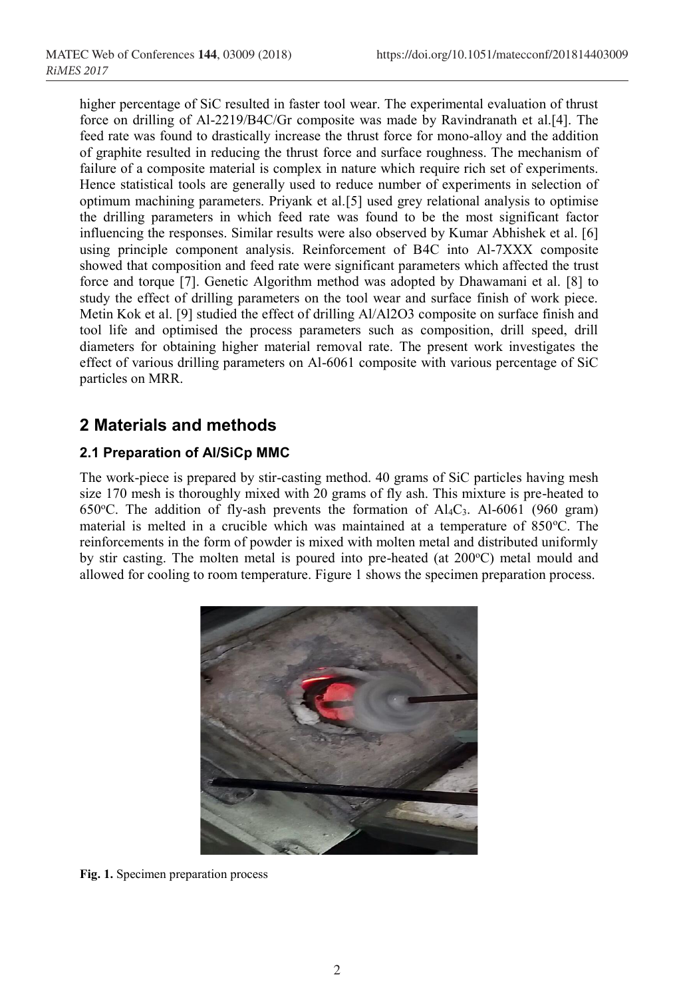higher percentage of SiC resulted in faster tool wear. The experimental evaluation of thrust force on drilling of Al-2219/B4C/Gr composite was made by Ravindranath et al.[4]. The feed rate was found to drastically increase the thrust force for mono-alloy and the addition of graphite resulted in reducing the thrust force and surface roughness. The mechanism of failure of a composite material is complex in nature which require rich set of experiments. Hence statistical tools are generally used to reduce number of experiments in selection of optimum machining parameters. Priyank et al.[5] used grey relational analysis to optimise the drilling parameters in which feed rate was found to be the most significant factor influencing the responses. Similar results were also observed by Kumar Abhishek et al. [6] using principle component analysis. Reinforcement of B4C into Al-7XXX composite showed that composition and feed rate were significant parameters which affected the trust force and torque [7]. Genetic Algorithm method was adopted by Dhawamani et al. [8] to study the effect of drilling parameters on the tool wear and surface finish of work piece. Metin Kok et al. [9] studied the effect of drilling Al/Al2O3 composite on surface finish and tool life and optimised the process parameters such as composition, drill speed, drill diameters for obtaining higher material removal rate. The present work investigates the effect of various drilling parameters on Al-6061 composite with various percentage of SiC particles on MRR.

# **2 Materials and methods**

### **2.1 Preparation of Al/SiCp MMC**

The work-piece is prepared by stir-casting method. 40 grams of SiC particles having mesh size 170 mesh is thoroughly mixed with 20 grams of fly ash. This mixture is pre-heated to 650 $\degree$ C. The addition of fly-ash prevents the formation of Al<sub>4</sub>C<sub>3</sub>. Al-6061 (960 gram) material is melted in a crucible which was maintained at a temperature of 850°C. The reinforcements in the form of powder is mixed with molten metal and distributed uniformly by stir casting. The molten metal is poured into pre-heated (at 200°C) metal mould and allowed for cooling to room temperature. Figure 1 shows the specimen preparation process.



**Fig. 1.** Specimen preparation process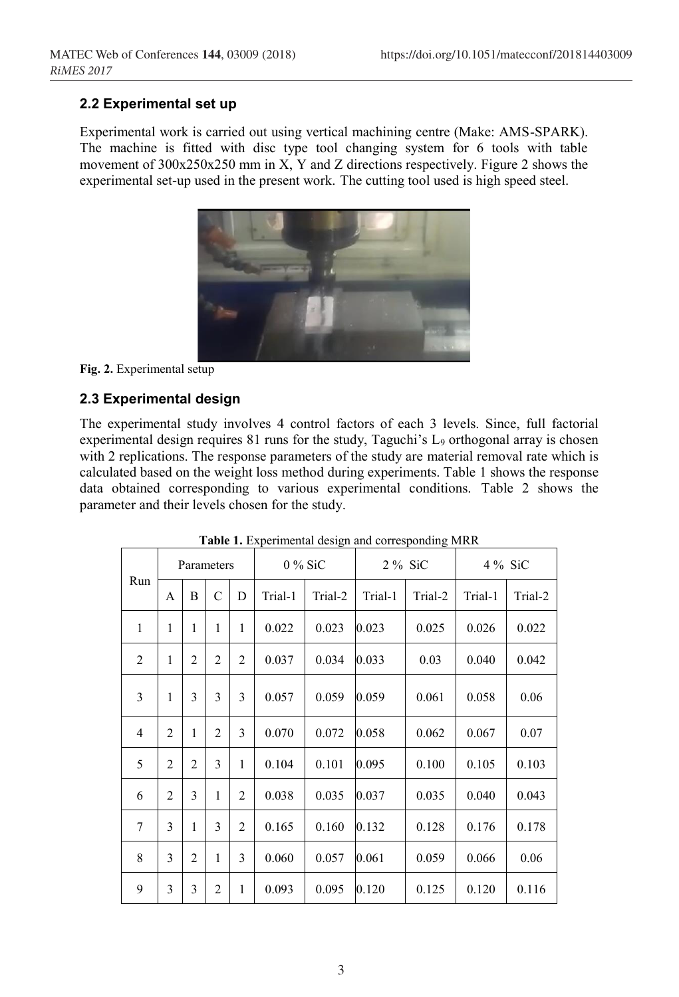### **2.2 Experimental set up**

Experimental work is carried out using vertical machining centre (Make: AMS-SPARK). The machine is fitted with disc type tool changing system for 6 tools with table movement of 300x250x250 mm in X, Y and Z directions respectively. Figure 2 shows the experimental set-up used in the present work. The cutting tool used is high speed steel.



**Fig. 2.** Experimental setup

### **2.3 Experimental design**

The experimental study involves 4 control factors of each 3 levels. Since, full factorial experimental design requires 81 runs for the study, Taguchi's  $L_9$  orthogonal array is chosen with 2 replications. The response parameters of the study are material removal rate which is calculated based on the weight loss method during experiments. Table 1 shows the response data obtained corresponding to various experimental conditions. Table 2 shows the parameter and their levels chosen for the study.

| <b>rapic 1.</b> Experimental design and corresponding interes |                |                |                |                |           |         |         |         |           |         |
|---------------------------------------------------------------|----------------|----------------|----------------|----------------|-----------|---------|---------|---------|-----------|---------|
| Run                                                           | Parameters     |                |                |                | $0\%$ SiC |         | 2 % SiC |         | $4\%$ SiC |         |
|                                                               | A              | B              | $\mathsf{C}$   | D              | Trial-1   | Trial-2 | Trial-1 | Trial-2 | Trial-1   | Trial-2 |
| 1                                                             | 1              | 1              | 1              | 1              | 0.022     | 0.023   | 0.023   | 0.025   | 0.026     | 0.022   |
| $\overline{2}$                                                | 1              | $\overline{2}$ | $\overline{2}$ | $\overline{2}$ | 0.037     | 0.034   | 0.033   | 0.03    | 0.040     | 0.042   |
| 3                                                             | 1              | 3              | 3              | 3              | 0.057     | 0.059   | 0.059   | 0.061   | 0.058     | 0.06    |
| $\overline{4}$                                                | $\overline{2}$ | 1              | $\overline{2}$ | 3              | 0.070     | 0.072   | 0.058   | 0.062   | 0.067     | 0.07    |
| 5                                                             | $\overline{2}$ | $\overline{2}$ | 3              | 1              | 0.104     | 0.101   | 0.095   | 0.100   | 0.105     | 0.103   |
| 6                                                             | $\overline{2}$ | 3              | $\mathbf{1}$   | $\overline{2}$ | 0.038     | 0.035   | 0.037   | 0.035   | 0.040     | 0.043   |
| $\overline{7}$                                                | 3              | $\mathbf{1}$   | 3              | $\overline{2}$ | 0.165     | 0.160   | 0.132   | 0.128   | 0.176     | 0.178   |
| 8                                                             | 3              | $\overline{2}$ | 1              | 3              | 0.060     | 0.057   | 0.061   | 0.059   | 0.066     | 0.06    |
| 9                                                             | 3              | 3              | $\overline{c}$ | 1              | 0.093     | 0.095   | 0.120   | 0.125   | 0.120     | 0.116   |

**Table 1.** Experimental design and corresponding MRR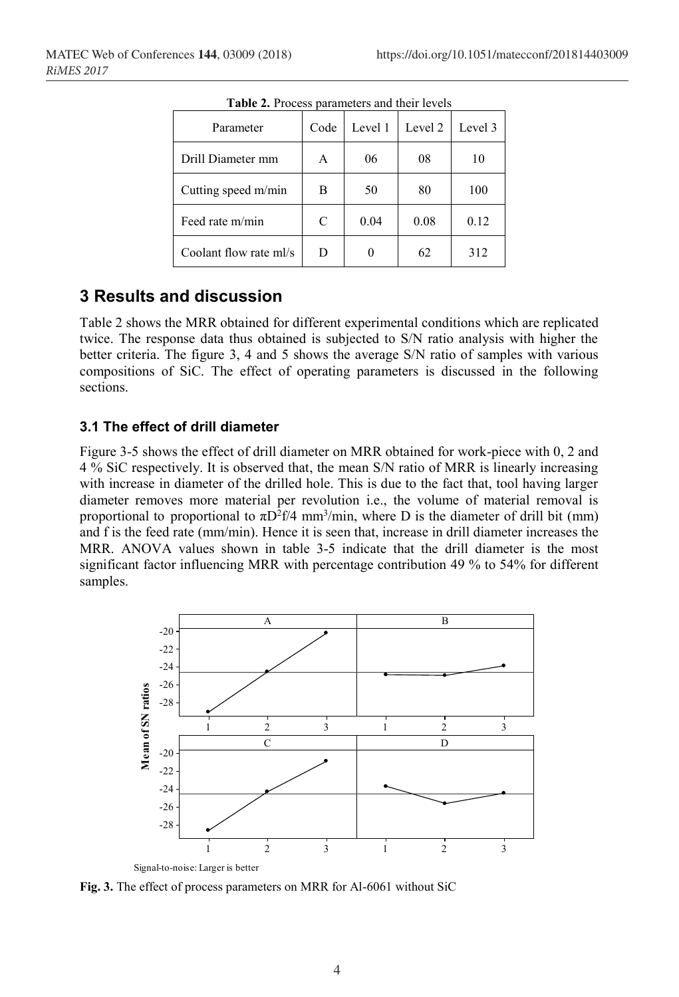| <b>Thore</b> 2. There is parameters and then it's cho |      |         |         |         |  |  |
|-------------------------------------------------------|------|---------|---------|---------|--|--|
| Parameter                                             | Code | Level 1 | Level 2 | Level 3 |  |  |
| Drill Diameter mm                                     | A    | 06      | 08      | 10      |  |  |
| Cutting speed m/min                                   | B    | 50      | 80      | 100     |  |  |
| Feed rate m/min                                       | C    | 0.04    | 0.08    | 0.12    |  |  |
| Coolant flow rate ml/s                                | D    |         | 62      | 312     |  |  |

**Table 2.** Process parameters and their levels

# **3 Results and discussion**

Table 2 shows the MRR obtained for different experimental conditions which are replicated twice. The response data thus obtained is subjected to S/N ratio analysis with higher the better criteria. The figure 3, 4 and 5 shows the average S/N ratio of samples with various compositions of SiC. The effect of operating parameters is discussed in the following sections.

## **3.1 The effect of drill diameter**

Figure 3-5 shows the effect of drill diameter on MRR obtained for work-piece with 0, 2 and 4 % SiC respectively. It is observed that, the mean S/N ratio of MRR is linearly increasing with increase in diameter of the drilled hole. This is due to the fact that, tool having larger diameter removes more material per revolution i.e., the volume of material removal is proportional to proportional to  $πD²f/4 mm³/min$ , where D is the diameter of drill bit (mm) and f is the feed rate (mm/min). Hence it is seen that, increase in drill diameter increases the MRR. ANOVA values shown in table 3-5 indicate that the drill diameter is the most significant factor influencing MRR with percentage contribution 49 % to 54% for different samples.



**Fig. 3.** The effect of process parameters on MRR for Al-6061 without SiC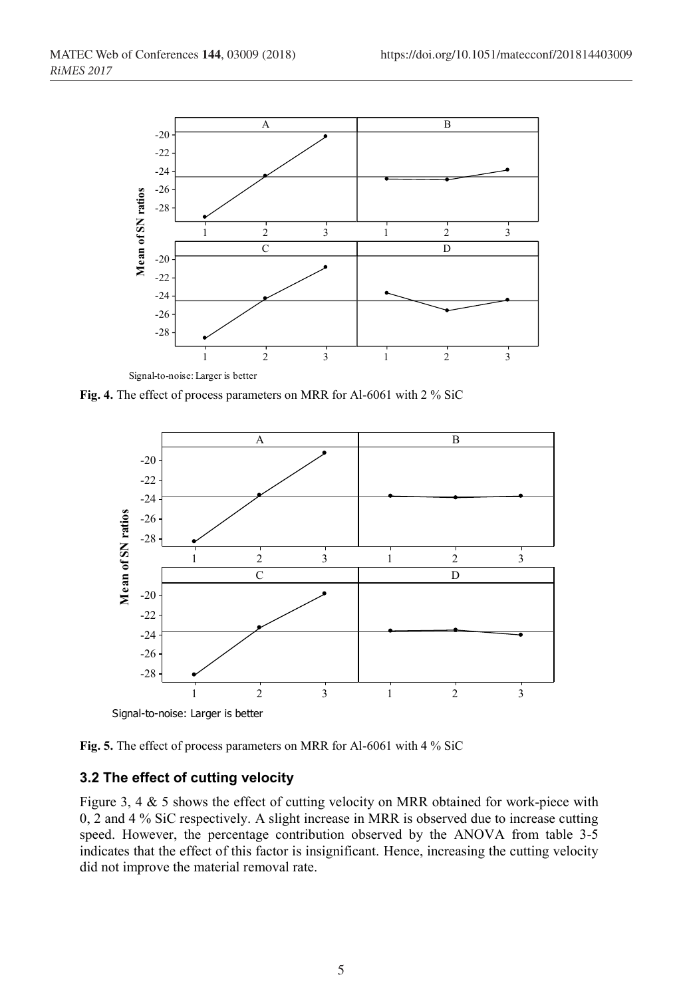

**Fig. 4.** The effect of process parameters on MRR for Al-6061 with 2 % SiC



Signal-to-noise: Larger is better

Fig. 5. The effect of process parameters on MRR for Al-6061 with 4 % SiC

#### **3.2 The effect of cutting velocity**

Figure 3, 4 & 5 shows the effect of cutting velocity on MRR obtained for work-piece with 0, 2 and 4 % SiC respectively. A slight increase in MRR is observed due to increase cutting speed. However, the percentage contribution observed by the ANOVA from table 3-5 indicates that the effect of this factor is insignificant. Hence, increasing the cutting velocity did not improve the material removal rate.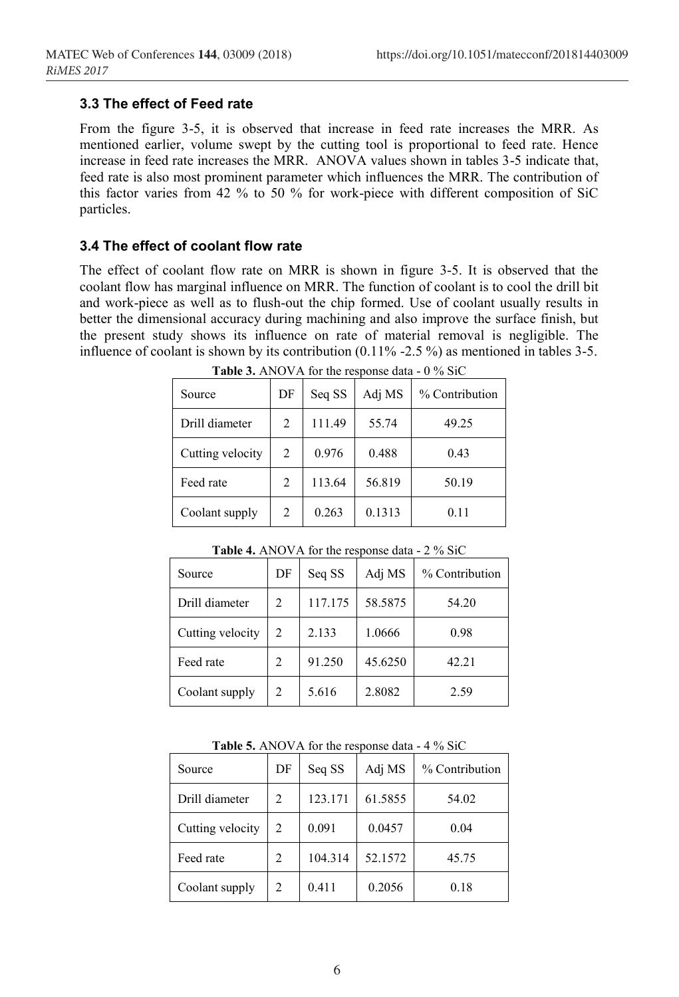### **3.3 The effect of Feed rate**

From the figure 3-5, it is observed that increase in feed rate increases the MRR. As mentioned earlier, volume swept by the cutting tool is proportional to feed rate. Hence increase in feed rate increases the MRR. ANOVA values shown in tables 3-5 indicate that, feed rate is also most prominent parameter which influences the MRR. The contribution of this factor varies from 42 % to 50 % for work-piece with different composition of SiC particles.

#### **3.4 The effect of coolant flow rate**

The effect of coolant flow rate on MRR is shown in figure 3-5. It is observed that the coolant flow has marginal influence on MRR. The function of coolant is to cool the drill bit and work-piece as well as to flush-out the chip formed. Use of coolant usually results in better the dimensional accuracy during machining and also improve the surface finish, but the present study shows its influence on rate of material removal is negligible. The influence of coolant is shown by its contribution (0.11% -2.5 %) as mentioned in tables 3-5.

| THERE OF THIS CITY CHE TO POPOIDE GARD |                |        |        |                |  |
|----------------------------------------|----------------|--------|--------|----------------|--|
| Source                                 | DF             | Seq SS | Adj MS | % Contribution |  |
| Drill diameter                         | $\overline{c}$ | 111.49 | 55.74  | 49.25          |  |
| Cutting velocity                       | 2              | 0.976  | 0.488  | 0.43           |  |
| Feed rate                              | 2              | 113.64 | 56.819 | 50.19          |  |
| Coolant supply                         | 2              | 0.263  | 0.1313 | 0.11           |  |

**Table 3.** ANOVA for the response data - 0 % SiC

| Source           | DF             | Seq SS  | Adj MS  | % Contribution |
|------------------|----------------|---------|---------|----------------|
| Drill diameter   | 2              | 117.175 | 58.5875 | 54.20          |
| Cutting velocity | 2              | 2.133   | 1.0666  | 0.98           |
| Feed rate        | 2              | 91.250  | 45.6250 | 42.21          |
| Coolant supply   | $\mathfrak{D}$ | 5.616   | 2.8082  | 2.59           |

**Table 4.** ANOVA for the response data - 2 % SiC

**Table 5.** ANOVA for the response data - 4 % SiC

| Source           | DF             | Seq SS  | Adj MS  | % Contribution |
|------------------|----------------|---------|---------|----------------|
| Drill diameter   | 2              | 123.171 | 61.5855 | 54.02          |
| Cutting velocity | $\overline{c}$ | 0.091   | 0.0457  | 0.04           |
| Feed rate        | 2              | 104.314 | 52.1572 | 45.75          |
| Coolant supply   | 2              | 0.411   | 0.2056  | 0.18           |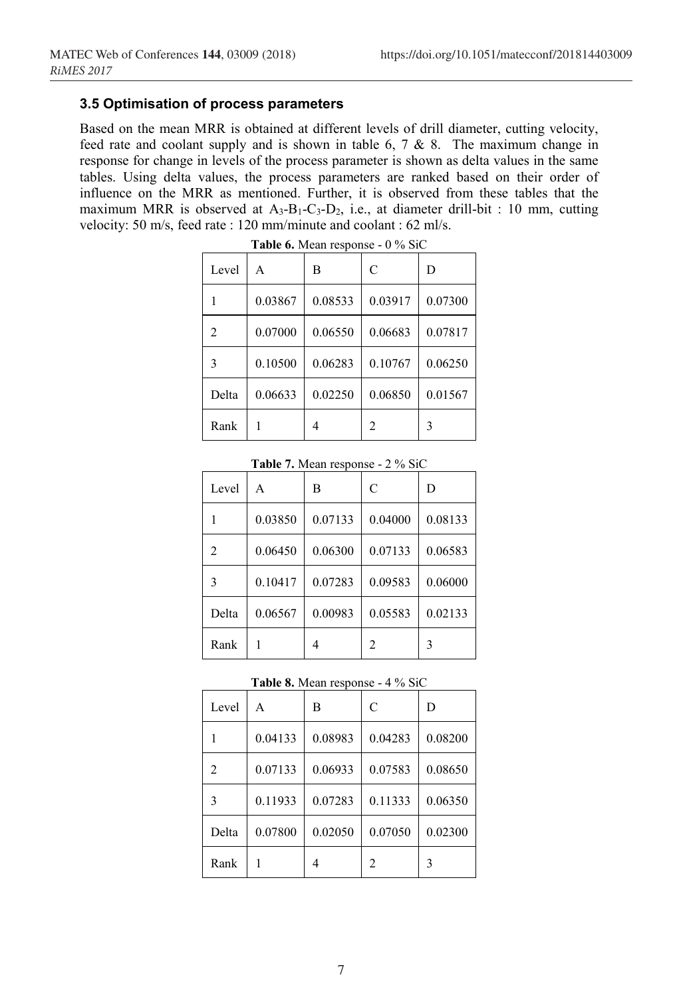#### **3.5 Optimisation of process parameters**

Based on the mean MRR is obtained at different levels of drill diameter, cutting velocity, feed rate and coolant supply and is shown in table 6, 7  $\&$  8. The maximum change in response for change in levels of the process parameter is shown as delta values in the same tables. Using delta values, the process parameters are ranked based on their order of influence on the MRR as mentioned. Further, it is observed from these tables that the maximum MRR is observed at  $A_3 - B_1 - C_3 - D_2$ , i.e., at diameter drill-bit : 10 mm, cutting velocity: 50 m/s, feed rate : 120 mm/minute and coolant : 62 ml/s.

| Level | A       | В       | C             | D       |
|-------|---------|---------|---------------|---------|
|       | 0.03867 | 0.08533 | 0.03917       | 0.07300 |
| 2     | 0.07000 | 0.06550 | 0.06683       | 0.07817 |
| 3     | 0.10500 | 0.06283 | 0.10767       | 0.06250 |
| Delta | 0.06633 | 0.02250 | 0.06850       | 0.01567 |
| Rank  |         |         | $\mathcal{P}$ | 3       |

**Table 6.** Mean response - 0 % SiC

#### **Table 7.** Mean response - 2 % SiC

| Level | A       | B       | C              | D       |  |  |  |
|-------|---------|---------|----------------|---------|--|--|--|
|       | 0.03850 | 0.07133 | 0.04000        | 0.08133 |  |  |  |
| 2     | 0.06450 | 0.06300 | 0.07133        | 0.06583 |  |  |  |
| 3     | 0.10417 | 0.07283 | 0.09583        | 0.06000 |  |  |  |
| Delta | 0.06567 | 0.00983 | 0.05583        | 0.02133 |  |  |  |
| Rank  |         | 4       | $\overline{2}$ | 3       |  |  |  |

#### **Table 8.** Mean response - 4 % SiC

| Level          | A       | В       | C       | D       |
|----------------|---------|---------|---------|---------|
|                | 0.04133 | 0.08983 | 0.04283 | 0.08200 |
| $\overline{2}$ | 0.07133 | 0.06933 | 0.07583 | 0.08650 |
| 3              | 0.11933 | 0.07283 | 0.11333 | 0.06350 |
| Delta          | 0.07800 | 0.02050 | 0.07050 | 0.02300 |
| Rank           |         |         | 2       | 3       |